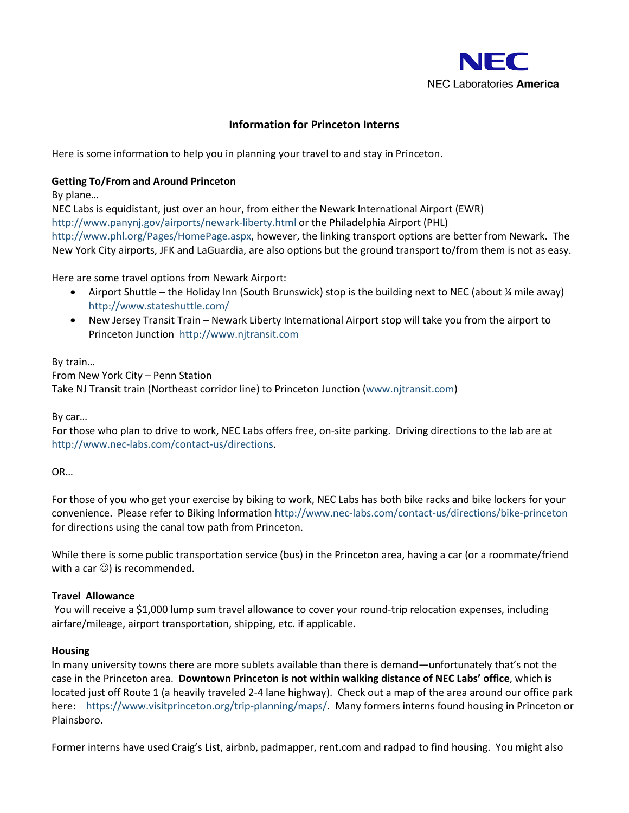

# **Information for Princeton Interns**

Here is some information to help you in planning your travel to and stay in Princeton.

### **Getting To/From and Around Princeton**

By plane…

NEC Labs is equidistant, just over an hour, from either the Newark International Airport (EWR) <http://www.panynj.gov/airports/newark-liberty.html> or the Philadelphia Airport (PHL) [http://www.phl.org/Pages/HomePage.aspx,](http://www.phl.org/Pages/HomePage.aspx) however, the linking transport options are better from Newark. The New York City airports, JFK and LaGuardia, are also options but the ground transport to/from them is not as easy.

### Here are some travel options from Newark Airport:

- Airport Shuttle the Holiday Inn (South Brunswick) stop is the building next to NEC (about ¼ mile away) <http://www.stateshuttle.com/>
- New Jersey Transit Train Newark Liberty International Airport stop will take you from the airport to Princeton Junction [http://www.njtransit.com](http://www.njtransit.com/)

By train…

From New York City – Penn Station Take NJ Transit train (Northeast corridor line) to Princeton Junction [\(www.njtransit.com\)](http://www.njtransit.com/)

By car…

For those who plan to drive to work, NEC Labs offers free, on-site parking. Driving directions to the lab are at [http://www.nec-labs.com/contact-us/directions.](http://www.nec-labs.com/contact-us/directions)

OR…

For those of you who get your exercise by biking to work, NEC Labs has both bike racks and bike lockers for your convenience. Please refer to [Biking Information](http://www.nec-labs.com/about/bikingdirections.php) <http://www.nec-labs.com/contact-us/directions/bike-princeton> for directions using the canal tow path from Princeton.

While there is some public transportation service (bus) in the Princeton area, having a car (or a roommate/friend with a car  $\circledcirc$ ) is recommended.

# **Travel Allowance**

You will receive a \$1,000 lump sum travel allowance to cover your round-trip relocation expenses, including airfare/mileage, airport transportation, shipping, etc. if applicable.

#### **Housing**

In many university towns there are more sublets available than there is demand—unfortunately that's not the case in the Princeton area. **Downtown Princeton is not within walking distance of NEC Labs' office**, which is located just off Route 1 (a heavily traveled 2-4 lane highway). Check out a map of the area around our office park here: [https://www.visitprinceton.org/trip-planning/maps/.](https://www.visitprinceton.org/trip-planning/maps/) Many formers interns found housing in Princeton or Plainsboro.

Former interns have used Craig's List, airbnb, padmapper, rent.com and radpad to find housing. You might also